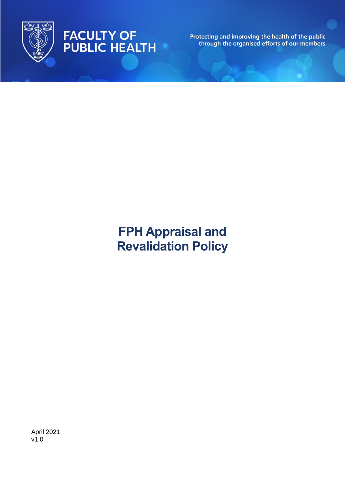

# FACULTY OF<br>PUBLIC HEALTH

Protecting and improving the health of the public<br>through the organised efforts of our members

# **FPH Appraisal and Revalidation Policy**

April 2021 v1.0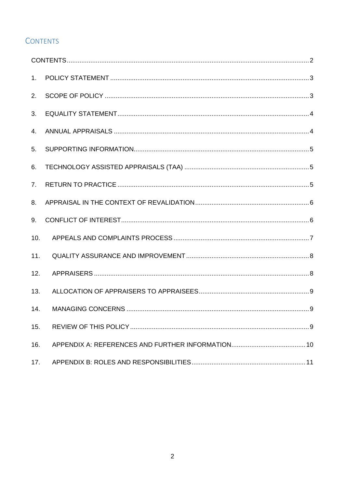# <span id="page-1-0"></span>**CONTENTS**

| 1 <sub>1</sub> |  |
|----------------|--|
| 2.             |  |
| 3.             |  |
| 4.             |  |
| 5.             |  |
| 6.             |  |
| 7 <sub>1</sub> |  |
| 8.             |  |
| 9.             |  |
| 10.            |  |
| 11.            |  |
| 12.            |  |
| 13.            |  |
| 14.            |  |
| 15.            |  |
| 16.            |  |
| 17.            |  |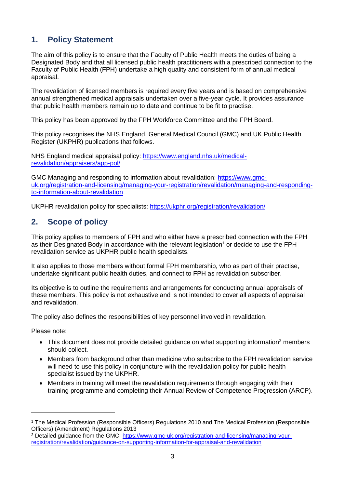# <span id="page-2-0"></span>**1. Policy Statement**

The aim of this policy is to ensure that the Faculty of Public Health meets the duties of being a Designated Body and that all licensed public health practitioners with a prescribed connection to the Faculty of Public Health (FPH) undertake a high quality and consistent form of annual medical appraisal.

The revalidation of licensed members is required every five years and is based on comprehensive annual strengthened medical appraisals undertaken over a five-year cycle. It provides assurance that public health members remain up to date and continue to be fit to practise.

This policy has been approved by the FPH Workforce Committee and the FPH Board.

This policy recognises the NHS England, General Medical Council (GMC) and UK Public Health Register (UKPHR) publications that follows.

NHS England medical appraisal policy: [https://www.england.nhs.uk/medical](https://www.england.nhs.uk/medical-revalidation/appraisers/app-pol/)[revalidation/appraisers/app-pol/](https://www.england.nhs.uk/medical-revalidation/appraisers/app-pol/)

GMC Managing and responding to information about revalidation: [https://www.gmc](https://www.gmc-uk.org/registration-and-licensing/managing-your-registration/revalidation/managing-and-responding-to-information-about-revalidation)[uk.org/registration-and-licensing/managing-your-registration/revalidation/managing-and-responding](https://www.gmc-uk.org/registration-and-licensing/managing-your-registration/revalidation/managing-and-responding-to-information-about-revalidation)[to-information-about-revalidation](https://www.gmc-uk.org/registration-and-licensing/managing-your-registration/revalidation/managing-and-responding-to-information-about-revalidation)

UKPHR revalidation policy for specialists: <https://ukphr.org/registration/revalidation/>

#### <span id="page-2-1"></span>**2. Scope of policy**

This policy applies to members of FPH and who either have a prescribed connection with the FPH as their Designated Body in accordance with the relevant legislation<sup>1</sup> or decide to use the FPH revalidation service as UKPHR public health specialists.

It also applies to those members without formal FPH membership, who as part of their practise, undertake significant public health duties, and connect to FPH as revalidation subscriber.

Its objective is to outline the requirements and arrangements for conducting annual appraisals of these members. This policy is not exhaustive and is not intended to cover all aspects of appraisal and revalidation.

The policy also defines the responsibilities of key personnel involved in revalidation.

Please note:

- This document does not provide detailed quidance on what supporting information<sup>2</sup> members should collect.
- Members from background other than medicine who subscribe to the FPH revalidation service will need to use this policy in conjuncture with the revalidation policy for public health specialist issued by the UKPHR.
- Members in training will meet the revalidation requirements through engaging with their training programme and completing their Annual Review of Competence Progression (ARCP).

<sup>1</sup> The Medical Profession (Responsible Officers) Regulations 2010 and The Medical Profession (Responsible Officers) (Amendment) Regulations 2013

<sup>&</sup>lt;sup>2</sup> Detailed guidance from the GMC: [https://www.gmc-uk.org/registration-and-licensing/managing-your](https://www.gmc-uk.org/registration-and-licensing/managing-your-registration/revalidation/guidance-on-supporting-information-for-appraisal-and-revalidation)[registration/revalidation/guidance-on-supporting-information-for-appraisal-and-revalidation](https://www.gmc-uk.org/registration-and-licensing/managing-your-registration/revalidation/guidance-on-supporting-information-for-appraisal-and-revalidation)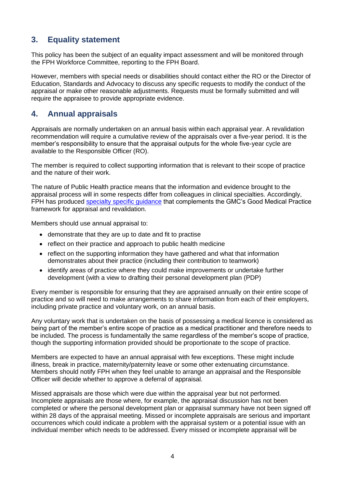#### <span id="page-3-0"></span>**3. Equality statement**

This policy has been the subject of an equality impact assessment and will be monitored through the FPH Workforce Committee, reporting to the FPH Board.

However, members with special needs or disabilities should contact either the RO or the Director of Education, Standards and Advocacy to discuss any specific requests to modify the conduct of the appraisal or make other reasonable adjustments. Requests must be formally submitted and will require the appraisee to provide appropriate evidence.

#### <span id="page-3-1"></span>**4. Annual appraisals**

Appraisals are normally undertaken on an annual basis within each appraisal year. A revalidation recommendation will require a cumulative review of the appraisals over a five-year period. It is the member's responsibility to ensure that the appraisal outputs for the whole five-year cycle are available to the Responsible Officer (RO).

The member is required to collect supporting information that is relevant to their scope of practice and the nature of their work.

The nature of Public Health practice means that the information and evidence brought to the appraisal process will in some respects differ from colleagues in clinical specialties. Accordingly, FPH has produced [specialty specific guidance](https://www.fph.org.uk/professional-development/revalidation/resources/) that complements the GMC's Good Medical Practice framework for appraisal and revalidation.

Members should use annual appraisal to:

- demonstrate that they are up to date and fit to practise
- reflect on their practice and approach to public health medicine
- reflect on the supporting information they have gathered and what that information demonstrates about their practice (including their contribution to teamwork)
- identify areas of practice where they could make improvements or undertake further development (with a view to drafting their personal development plan (PDP)

Every member is responsible for ensuring that they are appraised annually on their entire scope of practice and so will need to make arrangements to share information from each of their employers, including private practice and voluntary work, on an annual basis.

Any voluntary work that is undertaken on the basis of possessing a medical licence is considered as being part of the member's entire scope of practice as a medical practitioner and therefore needs to be included. The process is fundamentally the same regardless of the member's scope of practice, though the supporting information provided should be proportionate to the scope of practice.

Members are expected to have an annual appraisal with few exceptions. These might include illness, break in practice, maternity/paternity leave or some other extenuating circumstance. Members should notify FPH when they feel unable to arrange an appraisal and the Responsible Officer will decide whether to approve a deferral of appraisal.

Missed appraisals are those which were due within the appraisal year but not performed. Incomplete appraisals are those where, for example, the appraisal discussion has not been completed or where the personal development plan or appraisal summary have not been signed off within 28 days of the appraisal meeting. Missed or incomplete appraisals are serious and important occurrences which could indicate a problem with the appraisal system or a potential issue with an individual member which needs to be addressed. Every missed or incomplete appraisal will be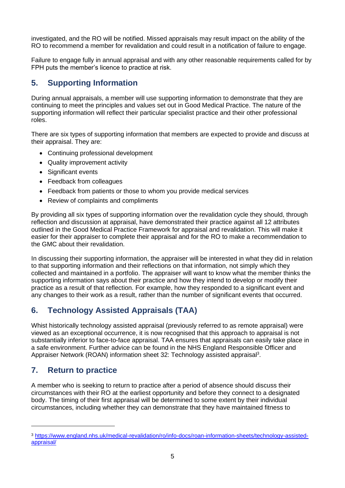investigated, and the RO will be notified. Missed appraisals may result impact on the ability of the RO to recommend a member for revalidation and could result in a notification of failure to engage.

Failure to engage fully in annual appraisal and with any other reasonable requirements called for by FPH puts the member's licence to practice at risk.

# <span id="page-4-0"></span>**5. Supporting Information**

During annual appraisals, a member will use supporting information to demonstrate that they are continuing to meet the principles and values set out in Good Medical Practice. The nature of the supporting information will reflect their particular specialist practice and their other professional roles.

There are six types of supporting information that members are expected to provide and discuss at their appraisal. They are:

- Continuing professional development
- Quality improvement activity
- Significant events
- Feedback from colleagues
- Feedback from patients or those to whom you provide medical services
- Review of complaints and compliments

By providing all six types of supporting information over the revalidation cycle they should, through reflection and discussion at appraisal, have demonstrated their practice against all 12 attributes outlined in the Good Medical Practice Framework for appraisal and revalidation. This will make it easier for their appraiser to complete their appraisal and for the RO to make a recommendation to the GMC about their revalidation.

In discussing their supporting information, the appraiser will be interested in what they did in relation to that supporting information and their reflections on that information, not simply which they collected and maintained in a portfolio. The appraiser will want to know what the member thinks the supporting information says about their practice and how they intend to develop or modify their practice as a result of that reflection. For example, how they responded to a significant event and any changes to their work as a result, rather than the number of significant events that occurred.

# <span id="page-4-1"></span>**6. Technology Assisted Appraisals (TAA)**

Whist historically technology assisted appraisal (previously referred to as remote appraisal) were viewed as an exceptional occurrence, it is now recognised that this approach to appraisal is not substantially inferior to face-to-face appraisal. TAA ensures that appraisals can easily take place in a safe environment. Further advice can be found in the NHS England Responsible Officer and Appraiser Network (ROAN) information sheet 32: Technology assisted appraisal<sup>3</sup>.

# <span id="page-4-2"></span>**7. Return to practice**

A member who is seeking to return to practice after a period of absence should discuss their circumstances with their RO at the earliest opportunity and before they connect to a designated body. The timing of their first appraisal will be determined to some extent by their individual circumstances, including whether they can demonstrate that they have maintained fitness to

<sup>3</sup> [https://www.england.nhs.uk/medical-revalidation/ro/info-docs/roan-information-sheets/technology-assisted](https://www.england.nhs.uk/medical-revalidation/ro/info-docs/roan-information-sheets/technology-assisted-appraisal/)[appraisal/](https://www.england.nhs.uk/medical-revalidation/ro/info-docs/roan-information-sheets/technology-assisted-appraisal/)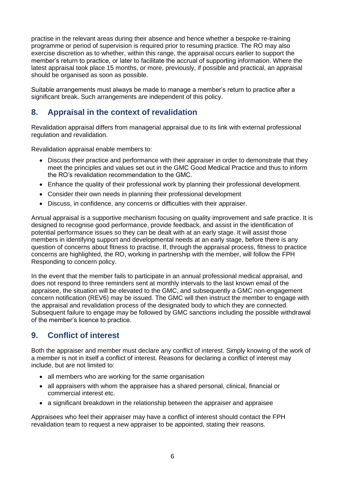practise in the relevant areas during their absence and hence whether a bespoke re-training programme or period of supervision is required prior to resuming practice. The RO may also exercise discretion as to whether, within this range, the appraisal occurs earlier to support the member's return to practice, or later to facilitate the accrual of supporting information. Where the latest appraisal took place 15 months, or more, previously, if possible and practical, an appraisal should be organised as soon as possible.

Suitable arrangements must always be made to manage a member's return to practice after a significant break. Such arrangements are independent of this policy.

# <span id="page-5-0"></span>**8. Appraisal in the context of revalidation**

Revalidation appraisal differs from managerial appraisal due to its link with external professional regulation and revalidation.

Revalidation appraisal enable members to:

- Discuss their practice and performance with their appraiser in order to demonstrate that they meet the principles and values set out in the GMC Good Medical Practice and thus to inform the RO's revalidation recommendation to the GMC.
- Enhance the quality of their professional work by planning their professional development.
- Consider their own needs in planning their professional development
- Discuss, in confidence, any concerns or difficulties with their appraiser.

Annual appraisal is a supportive mechanism focusing on quality improvement and safe practice. It is designed to recognise good performance, provide feedback, and assist in the identification of potential performance issues so they can be dealt with at an early stage. It will assist those members in identifying support and developmental needs at an early stage, before there is any question of concerns about fitness to practise. If, through the appraisal process, fitness to practice concerns are highlighted, the RO, working in partnership with the member, will follow the FPH Responding to concern policy.

In the event that the member fails to participate in an annual professional medical appraisal, and does not respond to three reminders sent at monthly intervals to the last known email of the appraisee, the situation will be elevated to the GMC, and subsequently a GMC non-engagement concern notification (REV6) may be issued. The GMC will then instruct the member to engage with the appraisal and revalidation process of the designated body to which they are connected. Subsequent failure to engage may be followed by GMC sanctions including the possible withdrawal of the member's licence to practice.

# <span id="page-5-1"></span>**9. Conflict of interest**

Both the appraiser and member must declare any conflict of interest. Simply knowing of the work of a member is not in itself a conflict of interest. Reasons for declaring a conflict of interest may include, but are not limited to:

- all members who are working for the same organisation
- all appraisers with whom the appraisee has a shared personal, clinical, financial or commercial interest etc.
- a significant breakdown in the relationship between the appraiser and appraisee

Appraisees who feel their appraiser may have a conflict of interest should contact the FPH revalidation team to request a new appraiser to be appointed, stating their reasons.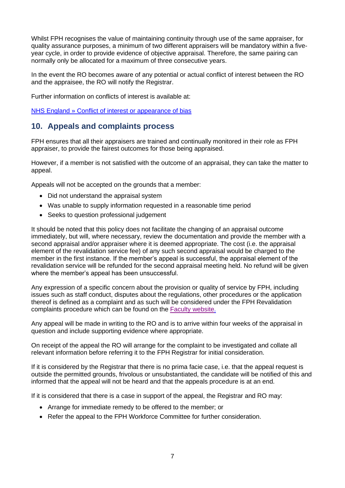Whilst FPH recognises the value of maintaining continuity through use of the same appraiser, for quality assurance purposes, a minimum of two different appraisers will be mandatory within a fiveyear cycle, in order to provide evidence of objective appraisal. Therefore, the same pairing can normally only be allocated for a maximum of three consecutive years.

In the event the RO becomes aware of any potential or actual conflict of interest between the RO and the appraisee, the RO will notify the Registrar.

Further information on conflicts of interest is available at:

<span id="page-6-0"></span>[NHS England » Conflict of interest or appearance of bias](https://www.england.nhs.uk/medical-revalidation/ro/con-of-int/)

#### **10. Appeals and complaints process**

FPH ensures that all their appraisers are trained and continually monitored in their role as FPH appraiser, to provide the fairest outcomes for those being appraised.

However, if a member is not satisfied with the outcome of an appraisal, they can take the matter to appeal.

Appeals will not be accepted on the grounds that a member:

- Did not understand the appraisal system
- Was unable to supply information requested in a reasonable time period
- Seeks to question professional judgement

It should be noted that this policy does not facilitate the changing of an appraisal outcome immediately, but will, where necessary, review the documentation and provide the member with a second appraisal and/or appraiser where it is deemed appropriate. The cost (i.e. the appraisal element of the revalidation service fee) of any such second appraisal would be charged to the member in the first instance. If the member's appeal is successful, the appraisal element of the revalidation service will be refunded for the second appraisal meeting held. No refund will be given where the member's appeal has been unsuccessful.

Any expression of a specific concern about the provision or quality of service by FPH, including issues such as staff conduct, disputes about the regulations, other procedures or the application thereof is defined as a complaint and as such will be considered under the FPH Revalidation complaints procedure which can be found on the [Faculty website.](https://www.fph.org.uk/about-fph/fph-policies-and-procedures/)

Any appeal will be made in writing to the RO and is to arrive within four weeks of the appraisal in question and include supporting evidence where appropriate.

On receipt of the appeal the RO will arrange for the complaint to be investigated and collate all relevant information before referring it to the FPH Registrar for initial consideration.

If it is considered by the Registrar that there is no prima facie case, i.e. that the appeal request is outside the permitted grounds, frivolous or unsubstantiated, the candidate will be notified of this and informed that the appeal will not be heard and that the appeals procedure is at an end.

If it is considered that there is a case in support of the appeal, the Registrar and RO may:

- Arrange for immediate remedy to be offered to the member; or
- Refer the appeal to the FPH Workforce Committee for further consideration.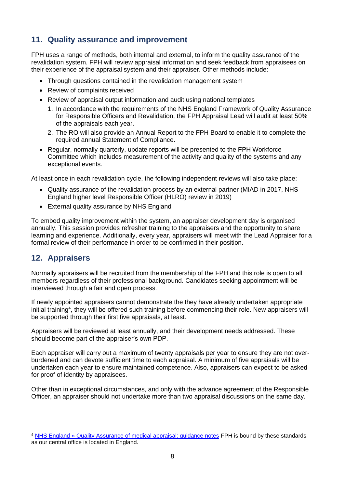# <span id="page-7-0"></span>**11. Quality assurance and improvement**

FPH uses a range of methods, both internal and external, to inform the quality assurance of the revalidation system. FPH will review appraisal information and seek feedback from appraisees on their experience of the appraisal system and their appraiser. Other methods include:

- Through questions contained in the revalidation management system
- Review of complaints received
- Review of appraisal output information and audit using national templates
	- 1. In accordance with the requirements of the NHS England Framework of Quality Assurance for Responsible Officers and Revalidation, the FPH Appraisal Lead will audit at least 50% of the appraisals each year.
	- 2. The RO will also provide an Annual Report to the FPH Board to enable it to complete the required annual Statement of Compliance.
- Regular, normally quarterly, update reports will be presented to the FPH Workforce Committee which includes measurement of the activity and quality of the systems and any exceptional events.

At least once in each revalidation cycle, the following independent reviews will also take place:

- Quality assurance of the revalidation process by an external partner (MIAD in 2017, NHS England higher level Responsible Officer (HLRO) review in 2019)
- External quality assurance by NHS England

To embed quality improvement within the system, an appraiser development day is organised annually. This session provides refresher training to the appraisers and the opportunity to share learning and experience. Additionally, every year, appraisers will meet with the Lead Appraiser for a formal review of their performance in order to be confirmed in their position.

#### <span id="page-7-1"></span>**12. Appraisers**

Normally appraisers will be recruited from the membership of the FPH and this role is open to all members regardless of their professional background. Candidates seeking appointment will be interviewed through a fair and open process.

If newly appointed appraisers cannot demonstrate the they have already undertaken appropriate initial training<sup>4</sup>, they will be offered such training before commencing their role. New appraisers will be supported through their first five appraisals, at least.

Appraisers will be reviewed at least annually, and their development needs addressed. These should become part of the appraiser's own PDP.

Each appraiser will carry out a maximum of twenty appraisals per year to ensure they are not overburdened and can devote sufficient time to each appraisal. A minimum of five appraisals will be undertaken each year to ensure maintained competence. Also, appraisers can expect to be asked for proof of identity by appraisees.

Other than in exceptional circumstances, and only with the advance agreement of the Responsible Officer, an appraiser should not undertake more than two appraisal discussions on the same day.

<sup>4</sup> [NHS England » Quality Assurance of medical appraisal: guidance notes](https://www.england.nhs.uk/medical-revalidation/appraisers/qa-guidance-notes/) FPH is bound by these standards as our central office is located in England.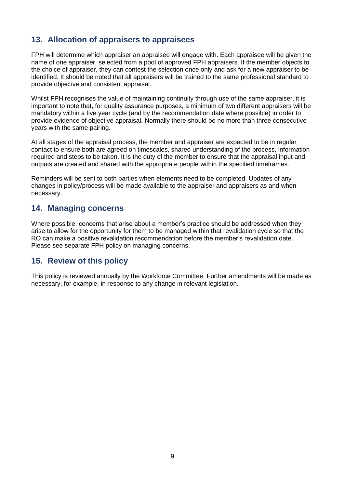# <span id="page-8-0"></span>**13. Allocation of appraisers to appraisees**

FPH will determine which appraiser an appraisee will engage with. Each appraisee will be given the name of one appraiser, selected from a pool of approved FPH appraisers. If the member objects to the choice of appraiser, they can contest the selection once only and ask for a new appraiser to be identified. It should be noted that all appraisers will be trained to the same professional standard to provide objective and consistent appraisal.

Whilst FPH recognises the value of maintaining continuity through use of the same appraiser, it is important to note that, for quality assurance purposes, a minimum of two different appraisers will be mandatory within a five year cycle (and by the recommendation date where possible) in order to provide evidence of objective appraisal. Normally there should be no more than three consecutive years with the same pairing.

At all stages of the appraisal process, the member and appraiser are expected to be in regular contact to ensure both are agreed on timescales, shared understanding of the process, information required and steps to be taken. It is the duty of the member to ensure that the appraisal input and outputs are created and shared with the appropriate people within the specified timeframes.

Reminders will be sent to both parties when elements need to be completed. Updates of any changes in policy/process will be made available to the appraiser and appraisers as and when necessary.

#### <span id="page-8-1"></span>**14. Managing concerns**

Where possible, concerns that arise about a member's practice should be addressed when they arise to allow for the opportunity for them to be managed within that revalidation cycle so that the RO can make a positive revalidation recommendation before the member's revalidation date. Please see separate FPH policy on managing concerns.

# <span id="page-8-2"></span>**15. Review of this policy**

This policy is reviewed annually by the Workforce Committee. Further amendments will be made as necessary, for example, in response to any change in relevant legislation.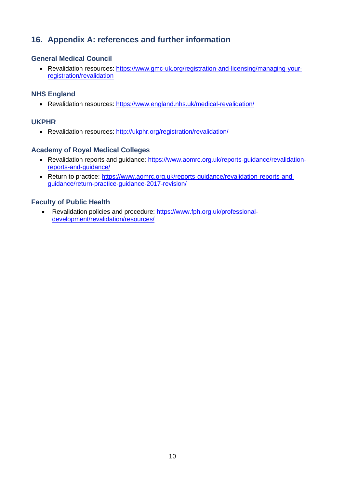# <span id="page-9-0"></span>**16. Appendix A: references and further information**

#### **General Medical Council**

• Revalidation resources: [https://www.gmc-uk.org/registration-and-licensing/managing-your](https://www.gmc-uk.org/registration-and-licensing/managing-your-registration/revalidation/managing-and-responding-to-information-about-revalidation)[registration/revalidation](https://www.gmc-uk.org/registration-and-licensing/managing-your-registration/revalidation/managing-and-responding-to-information-about-revalidation)

#### **NHS England**

• Revalidation resources:<https://www.england.nhs.uk/medical-revalidation/>

#### **UKPHR**

• Revalidation resources:<http://ukphr.org/registration/revalidation/>

#### **Academy of Royal Medical Colleges**

- Revalidation reports and guidance: [https://www.aomrc.org.uk/reports-guidance/revalidation](https://www.aomrc.org.uk/reports-guidance/revalidation-reports-and-guidance/)[reports-and-guidance/](https://www.aomrc.org.uk/reports-guidance/revalidation-reports-and-guidance/)
- Return to practice: [https://www.aomrc.org.uk/reports-guidance/revalidation-reports-and](https://www.aomrc.org.uk/reports-guidance/revalidation-reports-and-guidance/return-practice-guidance-2017-revision/)[guidance/return-practice-guidance-2017-revision/](https://www.aomrc.org.uk/reports-guidance/revalidation-reports-and-guidance/return-practice-guidance-2017-revision/)

#### **Faculty of Public Health**

• Revalidation policies and procedure: [https://www.fph.org.uk/professional](https://www.fph.org.uk/professional-development/revalidation/resources/)[development/revalidation/resources/](https://www.fph.org.uk/professional-development/revalidation/resources/)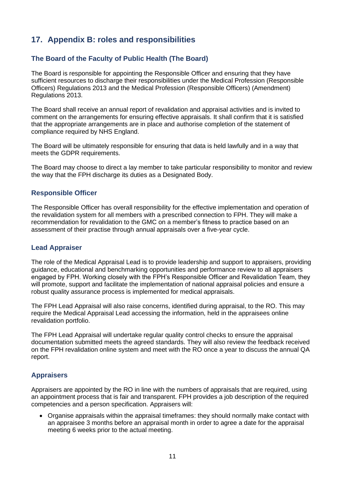# <span id="page-10-0"></span>**17. Appendix B: roles and responsibilities**

#### **The Board of the Faculty of Public Health (The Board)**

The Board is responsible for appointing the Responsible Officer and ensuring that they have sufficient resources to discharge their responsibilities under the Medical Profession (Responsible Officers) Regulations 2013 and the Medical Profession (Responsible Officers) (Amendment) Regulations 2013.

The Board shall receive an annual report of revalidation and appraisal activities and is invited to comment on the arrangements for ensuring effective appraisals. It shall confirm that it is satisfied that the appropriate arrangements are in place and authorise completion of the statement of compliance required by NHS England.

The Board will be ultimately responsible for ensuring that data is held lawfully and in a way that meets the GDPR requirements.

The Board may choose to direct a lay member to take particular responsibility to monitor and review the way that the FPH discharge its duties as a Designated Body.

#### **Responsible Officer**

The Responsible Officer has overall responsibility for the effective implementation and operation of the revalidation system for all members with a prescribed connection to FPH. They will make a recommendation for revalidation to the GMC on a member's fitness to practice based on an assessment of their practise through annual appraisals over a five-year cycle.

#### **Lead Appraiser**

The role of the Medical Appraisal Lead is to provide leadership and support to appraisers, providing guidance, educational and benchmarking opportunities and performance review to all appraisers engaged by FPH. Working closely with the FPH's Responsible Officer and Revalidation Team, they will promote, support and facilitate the implementation of national appraisal policies and ensure a robust quality assurance process is implemented for medical appraisals.

The FPH Lead Appraisal will also raise concerns, identified during appraisal, to the RO. This may require the Medical Appraisal Lead accessing the information, held in the appraisees online revalidation portfolio.

The FPH Lead Appraisal will undertake regular quality control checks to ensure the appraisal documentation submitted meets the agreed standards. They will also review the feedback received on the FPH revalidation online system and meet with the RO once a year to discuss the annual QA report.

#### **Appraisers**

Appraisers are appointed by the RO in line with the numbers of appraisals that are required, using an appointment process that is fair and transparent. FPH provides a job description of the required competencies and a person specification. Appraisers will:

• Organise appraisals within the appraisal timeframes: they should normally make contact with an appraisee 3 months before an appraisal month in order to agree a date for the appraisal meeting 6 weeks prior to the actual meeting.